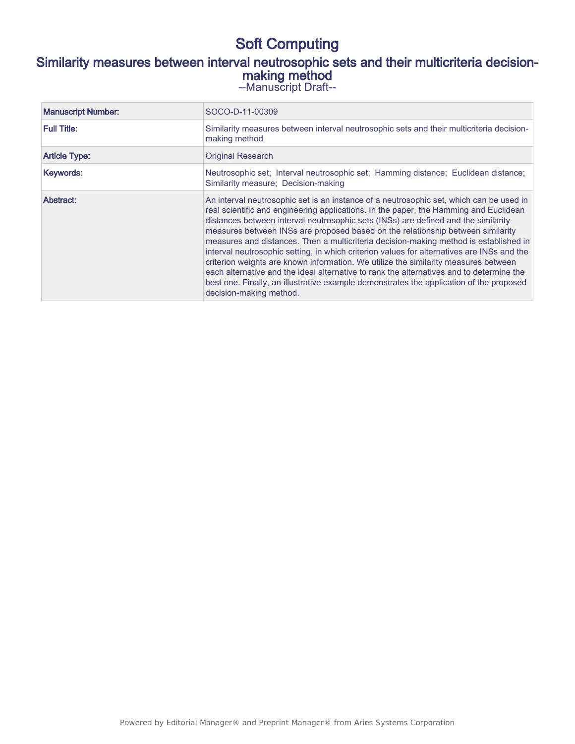## Soft Computing

### Similarity measures between interval neutrosophic sets and their multicriteria decisionmaking method

--Manuscript Draft--

| <b>Manuscript Number:</b> | SOCO-D-11-00309                                                                                                                                                                                                                                                                                                                                                                                                                                                                                                                                                                                                                                                                                                                                                                                                                                           |
|---------------------------|-----------------------------------------------------------------------------------------------------------------------------------------------------------------------------------------------------------------------------------------------------------------------------------------------------------------------------------------------------------------------------------------------------------------------------------------------------------------------------------------------------------------------------------------------------------------------------------------------------------------------------------------------------------------------------------------------------------------------------------------------------------------------------------------------------------------------------------------------------------|
| <b>Full Title:</b>        | Similarity measures between interval neutrosophic sets and their multicriteria decision-<br>making method                                                                                                                                                                                                                                                                                                                                                                                                                                                                                                                                                                                                                                                                                                                                                 |
| <b>Article Type:</b>      | <b>Original Research</b>                                                                                                                                                                                                                                                                                                                                                                                                                                                                                                                                                                                                                                                                                                                                                                                                                                  |
| Keywords:                 | Neutrosophic set; Interval neutrosophic set; Hamming distance; Euclidean distance;<br>Similarity measure; Decision-making                                                                                                                                                                                                                                                                                                                                                                                                                                                                                                                                                                                                                                                                                                                                 |
| Abstract:                 | An interval neutrosophic set is an instance of a neutrosophic set, which can be used in<br>real scientific and engineering applications. In the paper, the Hamming and Euclidean<br>distances between interval neutrosophic sets (INSs) are defined and the similarity<br>measures between INSs are proposed based on the relationship between similarity<br>measures and distances. Then a multicriteria decision-making method is established in<br>interval neutrosophic setting, in which criterion values for alternatives are INSs and the<br>criterion weights are known information. We utilize the similarity measures between<br>each alternative and the ideal alternative to rank the alternatives and to determine the<br>best one. Finally, an illustrative example demonstrates the application of the proposed<br>decision-making method. |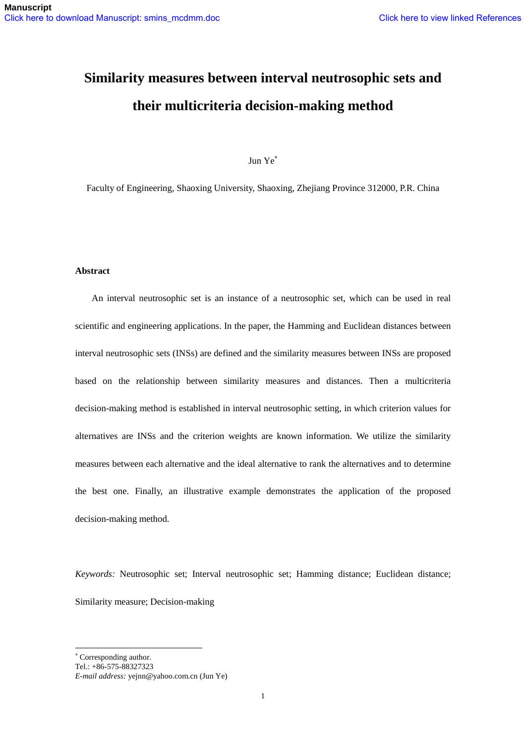# **Similarity measures between interval neutrosophic sets and their multicriteria decision-making method**

Jun Ye

Faculty of Engineering, Shaoxing University, Shaoxing, Zhejiang Province 312000, P.R. China

#### **Abstract**

An interval neutrosophic set is an instance of a neutrosophic set, which can be used in real scientific and engineering applications. In the paper, the Hamming and Euclidean distances between interval neutrosophic sets (INSs) are defined and the similarity measures between INSs are proposed based on the relationship between similarity measures and distances. Then a multicriteria decision-making method is established in interval neutrosophic setting, in which criterion values for alternatives are INSs and the criterion weights are known information. We utilize the similarity measures between each alternative and the ideal alternative to rank the alternatives and to determine the best one. Finally, an illustrative example demonstrates the application of the proposed decision-making method.

*Keywords:* Neutrosophic set; Interval neutrosophic set; Hamming distance; Euclidean distance; Similarity measure; Decision-making

-

Corresponding author.

Tel.: +86-575-88327323

*E-mail address:* yejnn@yahoo.com.cn (Jun Ye)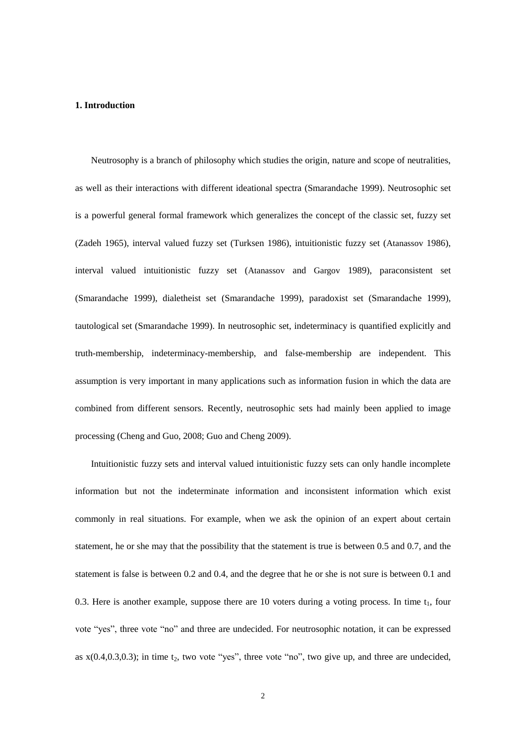#### **1. Introduction**

Neutrosophy is a branch of philosophy which studies the origin, nature and scope of neutralities, as well as their interactions with different ideational spectra (Smarandache 1999). Neutrosophic set is a powerful general formal framework which generalizes the concept of the classic set, fuzzy set (Zadeh 1965), interval valued fuzzy set (Turksen 1986), intuitionistic fuzzy set (Atanassov 1986), interval valued intuitionistic fuzzy set (Atanassov and Gargov 1989), paraconsistent set (Smarandache 1999), dialetheist set (Smarandache 1999), paradoxist set (Smarandache 1999), tautological set (Smarandache 1999). In neutrosophic set, indeterminacy is quantified explicitly and truth-membership, indeterminacy-membership, and false-membership are independent. This assumption is very important in many applications such as information fusion in which the data are combined from different sensors. Recently, neutrosophic sets had mainly been applied to image processing (Cheng and Guo, 2008; Guo and Cheng 2009).

Intuitionistic fuzzy sets and interval valued intuitionistic fuzzy sets can only handle incomplete information but not the indeterminate information and inconsistent information which exist commonly in real situations. For example, when we ask the opinion of an expert about certain statement, he or she may that the possibility that the statement is true is between 0.5 and 0.7, and the statement is false is between 0.2 and 0.4, and the degree that he or she is not sure is between 0.1 and 0.3. Here is another example, suppose there are 10 voters during a voting process. In time  $t_1$ , four vote "yes", three vote "no" and three are undecided. For neutrosophic notation, it can be expressed as  $x(0.4,0.3,0.3)$ ; in time t<sub>2</sub>, two vote "yes", three vote "no", two give up, and three are undecided,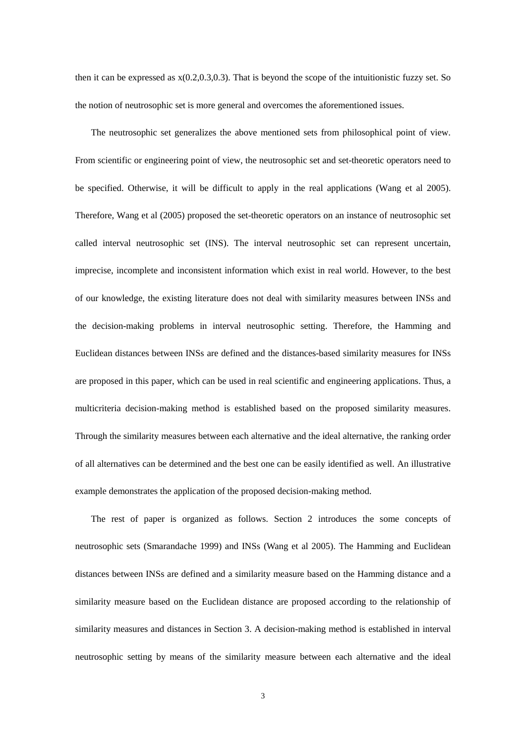then it can be expressed as  $x(0.2,0.3,0.3)$ . That is beyond the scope of the intuitionistic fuzzy set. So the notion of neutrosophic set is more general and overcomes the aforementioned issues.

The neutrosophic set generalizes the above mentioned sets from philosophical point of view. From scientific or engineering point of view, the neutrosophic set and set-theoretic operators need to be specified. Otherwise, it will be difficult to apply in the real applications (Wang et al 2005). Therefore, Wang et al (2005) proposed the set-theoretic operators on an instance of neutrosophic set called interval neutrosophic set (INS). The interval neutrosophic set can represent uncertain, imprecise, incomplete and inconsistent information which exist in real world. However, to the best of our knowledge, the existing literature does not deal with similarity measures between INSs and the decision-making problems in interval neutrosophic setting. Therefore, the Hamming and Euclidean distances between INSs are defined and the distances-based similarity measures for INSs are proposed in this paper, which can be used in real scientific and engineering applications. Thus, a multicriteria decision-making method is established based on the proposed similarity measures. Through the similarity measures between each alternative and the ideal alternative, the ranking order of all alternatives can be determined and the best one can be easily identified as well. An illustrative example demonstrates the application of the proposed decision-making method.

The rest of paper is organized as follows. Section 2 introduces the some concepts of neutrosophic sets (Smarandache 1999) and INSs (Wang et al 2005). The Hamming and Euclidean distances between INSs are defined and a similarity measure based on the Hamming distance and a similarity measure based on the Euclidean distance are proposed according to the relationship of similarity measures and distances in Section 3. A decision-making method is established in interval neutrosophic setting by means of the similarity measure between each alternative and the ideal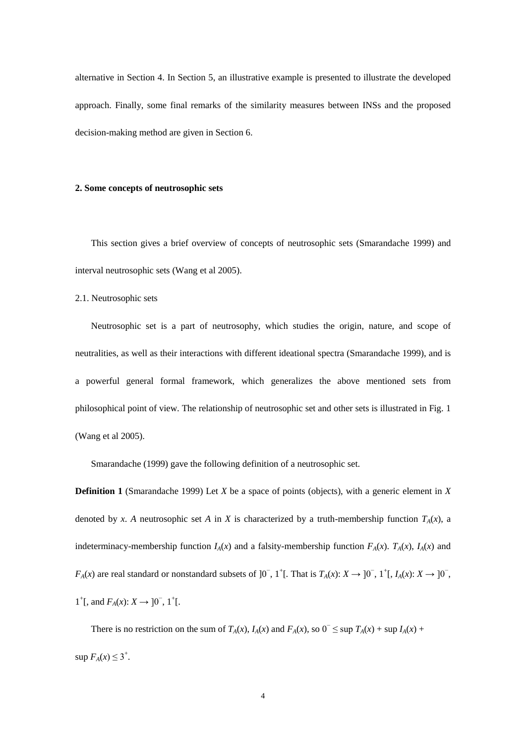alternative in Section 4. In Section 5, an illustrative example is presented to illustrate the developed approach. Finally, some final remarks of the similarity measures between INSs and the proposed decision-making method are given in Section 6.

#### **2. Some concepts of neutrosophic sets**

This section gives a brief overview of concepts of neutrosophic sets (Smarandache 1999) and interval neutrosophic sets (Wang et al 2005).

2.1. Neutrosophic sets

Neutrosophic set is a part of neutrosophy, which studies the origin, nature, and scope of neutralities, as well as their interactions with different ideational spectra (Smarandache 1999), and is a powerful general formal framework, which generalizes the above mentioned sets from philosophical point of view. The relationship of neutrosophic set and other sets is illustrated in Fig. 1 (Wang et al 2005).

Smarandache (1999) gave the following definition of a neutrosophic set.

**Definition 1** (Smarandache 1999) Let *X* be a space of points (objects), with a generic element in *X* denoted by *x*. *A* neutrosophic set *A* in *X* is characterized by a truth-membership function  $T_A(x)$ , a indeterminacy-membership function  $I_A(x)$  and a falsity-membership function  $F_A(x)$ .  $T_A(x)$ ,  $I_A(x)$  and *F<sub>A</sub>*(*x*) are real standard or nonstandard subsets of  $]0^-$ ,  $1^+$ [. That is  $T_A(x): X \to ]0^-$ ,  $1^+$ [,  $I_A(x): X \to ]0^-$ , 1<sup>+</sup>[, and  $F_A(x)$ : *X* → ]0<sup>−</sup>, 1<sup>+</sup>[.

There is no restriction on the sum of  $T_A(x)$ ,  $I_A(x)$  and  $F_A(x)$ , so  $0^- \leq \sup T_A(x) + \sup I_A(x) +$  $\sup F_A(x) \leq 3^+$ .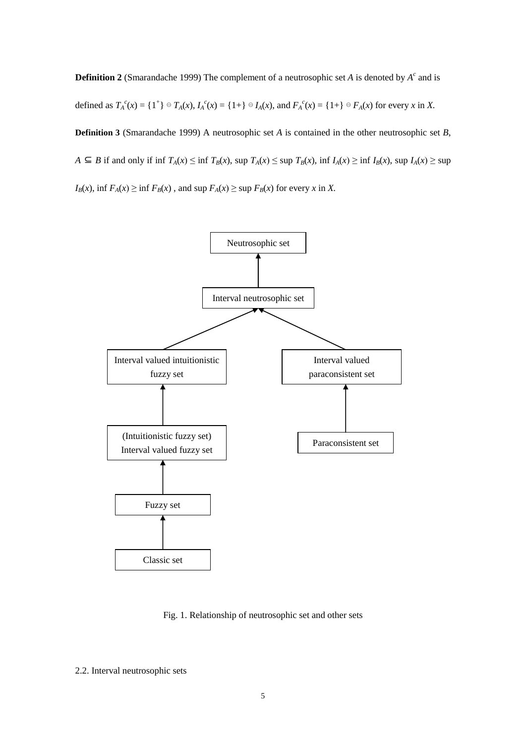**Definition 2** (Smarandache 1999) The complement of a neutrosophic set *A* is denoted by  $A<sup>c</sup>$  and is defined as  $T_A^c(x) = \{1^+\} \oplus T_A(x)$ ,  $I_A^c(x) = \{1 + \} \oplus I_A(x)$ , and  $F_A^c(x) = \{1 + \} \oplus F_A(x)$  for every x in X. **Definition 3** (Smarandache 1999) A neutrosophic set *A* is contained in the other neutrosophic set *B*,  $A \subseteq B$  if and only if inf  $T_A(x) \le \inf T_B(x)$ , sup  $T_A(x) \le \sup T_B(x)$ , inf  $I_A(x) \ge \inf I_B(x)$ , sup  $I_A(x) \ge \sup$  $I_B(x)$ , inf  $F_A(x) \ge \inf F_B(x)$ , and sup  $F_A(x) \ge \sup F_B(x)$  for every *x* in *X*.



Fig. 1. Relationship of neutrosophic set and other sets

2.2. Interval neutrosophic sets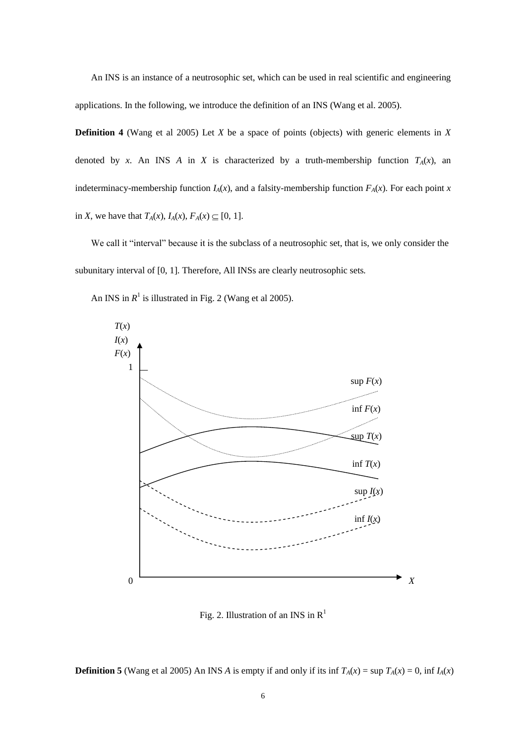An INS is an instance of a neutrosophic set, which can be used in real scientific and engineering applications. In the following, we introduce the definition of an INS (Wang et al. 2005).

**Definition 4** (Wang et al 2005) Let *X* be a space of points (objects) with generic elements in *X* denoted by *x*. An INS *A* in *X* is characterized by a truth-membership function  $T_A(x)$ , an indeterminacy-membership function  $I_A(x)$ , and a falsity-membership function  $F_A(x)$ . For each point *x* in *X*, we have that  $T_A(x)$ ,  $I_A(x)$ ,  $F_A(x) \subseteq [0, 1]$ .

We call it "interval" because it is the subclass of a neutrosophic set, that is, we only consider the subunitary interval of [0, 1]. Therefore, All INSs are clearly neutrosophic sets*.*

An INS in  $R^1$  is illustrated in Fig. 2 (Wang et al 2005).



Fig. 2. Illustration of an INS in  $R<sup>1</sup>$ 

**Definition 5** (Wang et al 2005) An INS *A* is empty if and only if its inf  $T_A(x) = \sup T_A(x) = 0$ , inf  $I_A(x)$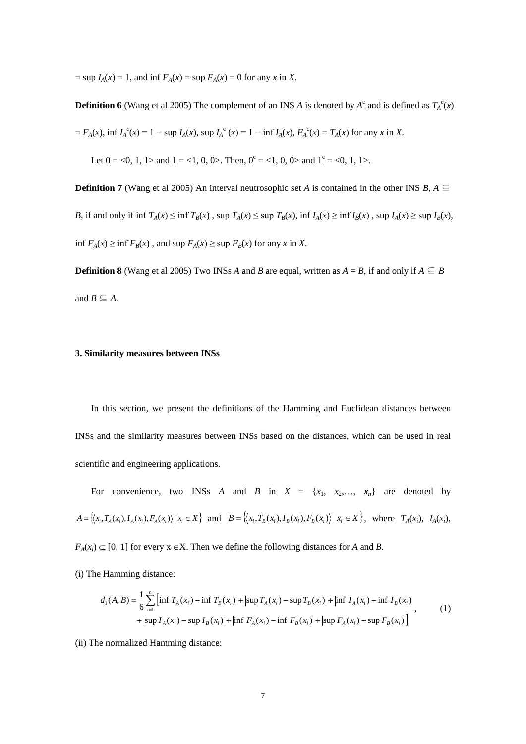$=$  sup *I*<sub>*A*</sub>(*x*) = 1, and inf *F*<sub>*A*</sub>(*x*) = sup *F*<sub>*A*</sub>(*x*) = 0 for any *x* in *X*.

**Definition 6** (Wang et al 2005) The complement of an INS *A* is denoted by  $A^c$  and is defined as  $T_A^c(x)$ 

 $= F_A(x)$ , inf  $I_A^c(x) = 1 - \sup I_A(x)$ ,  $\sup I_A^c(x) = 1 - \inf I_A(x)$ ,  $F_A^c(x) = T_A(x)$  for any x in X.

Let <u>0</u> = <0, 1, 1> and <u>1</u> = <1, 0, 0>. Then, <u>0</u><sup>c</sup> = <1, 0, 0> and <u>1</u><sup>c</sup> = <0, 1, 1>.

**Definition 7** (Wang et al 2005) An interval neutrosophic set *A* is contained in the other INS *B*,  $A \subseteq$ B, if and only if inf  $T_A(x) \le \inf T_B(x)$ , sup  $T_A(x) \le \sup T_B(x)$ , inf  $I_A(x) \ge \inf I_B(x)$ , sup  $I_A(x) \ge \sup I_B(x)$ , inf *F*<sup>*A*</sup>(*x*) ≥ inf *F*<sup>*B*</sup>(*x*) , and sup *F*<sup>*A*</sup>(*x*) ≥ sup *F*<sup>*B*</sup>(*x*) for any *x* in *X*.

**Definition 8** (Wang et al 2005) Two INSs *A* and *B* are equal, written as  $A = B$ , if and only if  $A \subseteq B$ and  $B \subseteq A$ .

#### **3. Similarity measures between INSs**

In this section, we present the definitions of the Hamming and Euclidean distances between INSs and the similarity measures between INSs based on the distances, which can be used in real scientific and engineering applications.

For convenience, two INSs *A* and *B* in  $X = \{x_1, x_2,..., x_n\}$  are denoted by  $A = \langle (x_i, T_A(x_i), I_A(x_i), F_A(x_i)) | x_i \in X \rangle$  and  $B = \langle (x_i, T_B(x_i), I_B(x_i), F_B(x_i)) | x_i \in X \rangle$ , where  $T_A(x_i), T_A(x_i),$ 

 $F_A(x_i) \subseteq [0, 1]$  for every  $x_i \in X$ . Then we define the following distances for *A* and *B*.

(i) The Hamming distance:

$$
d_1(A, B) = \frac{1}{6} \sum_{i=1}^n \left[ \inf T_A(x_i) - \inf T_B(x_i) \right] + \left| \sup T_A(x_i) - \sup T_B(x_i) \right| + \left| \inf I_A(x_i) - \inf T_B(x_i) \right| + \left| \sup I_A(x_i) - \sup T_B(x_i) \right| + \left| \sup T_A(x_i) - \sup T_B(x_i) \right| + \left| \sup F_A(x_i) - \inf T_B(x_i) \right| \tag{1}
$$

(ii) The normalized Hamming distance: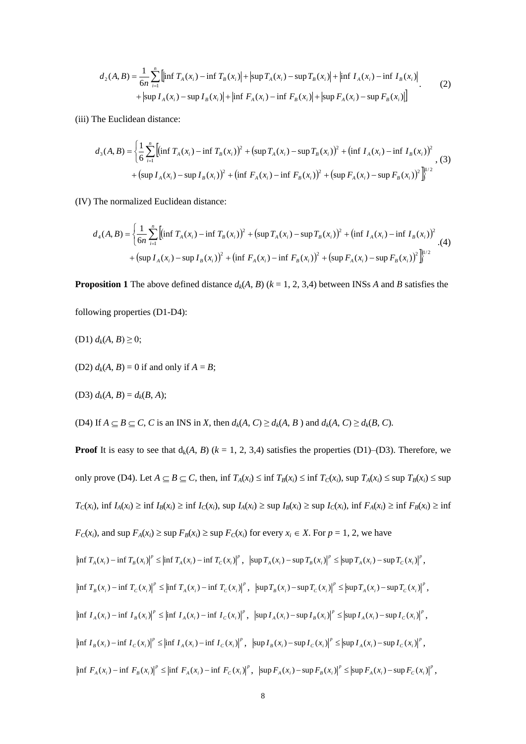$$
d_2(A, B) = \frac{1}{6n} \sum_{i=1}^n \left[ \inf T_A(x_i) - \inf T_B(x_i) \right] + \left| \sup T_A(x_i) - \sup T_B(x_i) \right| + \left| \inf I_A(x_i) - \inf I_B(x_i) \right| + \left| \sup I_A(x_i) - \sup I_B(x_i) \right| + \left| \sup I_A(x_i) - \sup I_B(x_i) \right| + \left| \inf F_A(x_i) - \inf F_B(x_i) \right| + \left| \sup F_A(x_i) - \sup F_B(x_i) \right| \right]
$$
(2)

(iii) The Euclidean distance:

$$
d_3(A, B) = \left\{ \frac{1}{6} \sum_{i=1}^n \left[ (\inf T_A(x_i) - \inf T_B(x_i))^2 + (\sup T_A(x_i) - \sup T_B(x_i))^2 + (\inf I_A(x_i) - \inf I_B(x_i))^2 \right] \right\}
$$
  
+ 
$$
(\sup I_A(x_i) - \sup I_B(x_i))^2 + (\inf F_A(x_i) - \inf F_B(x_i))^2 + (\sup F_A(x_i) - \sup F_B(x_i))^2 \right\}^{1/2}
$$
 (3)

(IV) The normalized Euclidean distance:

$$
d_4(A, B) = \left\{ \frac{1}{6n} \sum_{i=1}^n \left[ (\inf T_A(x_i) - \inf T_B(x_i))^2 + (\sup T_A(x_i) - \sup T_B(x_i))^2 + (\inf I_A(x_i) - \inf I_B(x_i))^2 \right] \right\} + (4)
$$
  
+ 
$$
(\sup I_A(x_i) - \sup I_B(x_i))^2 + (\inf F_A(x_i) - \inf F_B(x_i))^2 + (\sup F_A(x_i) - \sup F_B(x_i))^2 \right\}^{1/2}
$$

**Proposition 1** The above defined distance  $d_k(A, B)$  ( $k = 1, 2, 3, 4$ ) between INSs *A* and *B* satisfies the

following properties (D1-D4):

$$
(D1) dk(A, B) \geq 0;
$$

(D2)  $d_k(A, B) = 0$  if and only if  $A = B$ ;

(D3) 
$$
d_k(A, B) = d_k(B, A);
$$

(D4) If  $A \subseteq B \subseteq C$ , C is an INS in X, then  $d_k(A, C) \ge d_k(A, B)$  and  $d_k(A, C) \ge d_k(B, C)$ .

**Proof** It is easy to see that  $d_k(A, B)$  ( $k = 1, 2, 3, 4$ ) satisfies the properties (D1)–(D3). Therefore, we only prove (D4). Let  $A \subseteq B \subseteq C$ , then, inf  $T_A(x_i) \le \inf T_B(x_i) \le \inf T_C(x_i)$ , sup  $T_A(x_i) \le \sup T_B(x_i) \le \sup$  $T_C(x_i)$ , inf  $I_A(x_i) \ge \inf I_B(x_i) \ge \inf I_C(x_i)$ , sup  $I_A(x_i) \ge \sup I_B(x_i) \ge \sup I_C(x_i)$ , inf  $F_A(x_i) \ge \inf F_B(x_i) \ge \inf F_B(x_i)$  $F_C(x_i)$ , and sup  $F_A(x_i) \ge \sup F_B(x_i) \ge \sup F_C(x_i)$  for every  $x_i \in X$ . For  $p = 1, 2$ , we have  $\inf T_A(x_i) - \inf T_B(x_i)\big|^p \leq \left|\inf T_A(x_i) - \inf T_C(x_i)\right|^p, \ \left|\sup T_A(x_i) - \sup T_B(x_i)\right|^p \leq \left|\sup T_A(x_i) - \sup T_C(x_i)\right|^p,$  $\inf T_B(x_i) - \inf T_C(x_i)^p \le \left| \inf T_A(x_i) - \inf T_C(x_i) \right|^p$ ,  $\left| \sup T_B(x_i) - \sup T_C(x_i) \right|^p \le \left| \sup T_A(x_i) - \sup T_C(x_i) \right|^p$ ,  $\inf I_A(x_i) - \inf I_B(x_i)|^p \leq \inf I_A(x_i) - \inf I_C(x_i)|^p$ ,  $\left| \sup I_A(x_i) - \sup I_B(x_i) \right|^p \leq \left| \sup I_A(x_i) - \sup I_C(x_i) \right|^p$ ,  $\inf I_B(x_i) - \inf I_C(x_i) \Big|^p \le \inf I_A(x_i) - \inf I_C(x_i) \Big|^p$ ,  $\left| \sup I_B(x_i) - \sup I_C(x_i) \right|^p \le \left| \sup I_A(x_i) - \sup I_C(x_i) \right|^p$ ,  $\inf F_A(x_i) - \inf F_B(x_i) \big|^p \leq \inf F_A(x_i) - \inf F_C(x_i) \big|^p$ ,  $\sup F_A(x_i) - \sup F_B(x_i) \big|^p \leq \sup F_A(x_i) - \sup F_C(x_i) \big|^p$ ,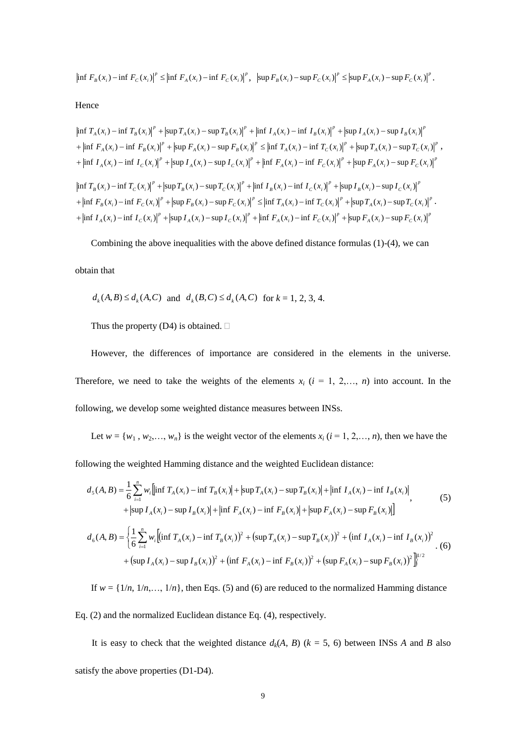$$
\left|\inf F_B(x_i) - \inf F_C(x_i)\right|^p \le \left|\inf F_A(x_i) - \inf F_C(x_i)\right|^p, \ \left|\sup F_B(x_i) - \sup F_C(x_i)\right|^p \le \left|\sup F_A(x_i) - \sup F_C(x_i)\right|^p.
$$

Hence

$$
\left|\inf T_A(x_i) - \inf T_B(x_i)\right|^p + \left|\sup T_A(x_i) - \sup T_B(x_i)\right|^p + \left|\inf T_A(x_i) - \inf T_B(x_i)\right|^p + \left|\sup T_A(x_i) - \sup T_B(x_i)\right|^p
$$
  
+ 
$$
\left|\inf F_A(x_i) - \inf F_B(x_i)\right|^p + \left|\sup F_A(x_i) - \sup F_B(x_i)\right|^p \le \left|\inf T_A(x_i) - \inf T_C(x_i)\right|^p + \left|\sup T_A(x_i) - \sup T_C(x_i)\right|^p
$$
  
+ 
$$
\left|\inf T_A(x_i) - \inf T_C(x_i)\right|^p + \left|\sup T_A(x_i) - \sup T_C(x_i)\right|^p + \left|\inf F_A(x_i) - \inf F_C(x_i)\right|^p + \left|\sup F_A(x_i) - \sup F_C(x_i)\right|^p
$$
  

$$
\left|\inf T_B(x_i) - \inf T_C(x_i)\right|^p + \left|\sup T_B(x_i) - \sup T_C(x_i)\right|^p + \left|\inf T_B(x_i) - \inf T_C(x_i)\right|^p + \left|\sup T_B(x_i) - \sup T_C(x_i)\right|^p
$$
  
+ 
$$
\left|\inf F_B(x_i) - \inf F_C(x_i)\right|^p + \left|\sup F_B(x_i) - \sup F_C(x_i)\right|^p \le \left|\inf T_A(x_i) - \inf T_C(x_i)\right|^p + \left|\sup T_A(x_i) - \sup T_C(x_i)\right|^p
$$
  
+ 
$$
\left|\inf T_A(x_i) - \inf T_C(x_i)\right|^p + \left|\sup T_A(x_i) - \sup T_C(x_i)\right|^p + \left|\inf F_A(x_i) - \inf F_C(x_i)\right|^p + \left|\sup F_A(x_i) - \sup F_C(x_i)\right|^p
$$

Combining the above inequalities with the above defined distance formulas (1)-(4), we can

obtain that

 $d_k(A, B) \le d_k(A, C)$  and  $d_k(B, C) \le d_k(A, C)$  for  $k = 1, 2, 3, 4$ .

Thus the property (D4) is obtained.  $\square$ 

However, the differences of importance are considered in the elements in the universe. Therefore, we need to take the weights of the elements  $x_i$  ( $i = 1, 2,..., n$ ) into account. In the following, we develop some weighted distance measures between INSs.

Let  $w = \{w_1, w_2, \ldots, w_n\}$  is the weight vector of the elements  $x_i$  ( $i = 1, 2, \ldots, n$ ), then we have the

following the weighted Hamming distance and the weighted Euclidean distance:

$$
d_{5}(A, B) = \frac{1}{6} \sum_{i=1}^{n} w_{i} \left[ \inf T_{A}(x_{i}) - \inf T_{B}(x_{i}) \right] + \left| \sup T_{A}(x_{i}) - \sup T_{B}(x_{i}) \right| + \left| \inf T_{A}(x_{i}) - \inf T_{B}(x_{i}) \right|,
$$
  
\n
$$
+ \left| \sup I_{A}(x_{i}) - \sup I_{B}(x_{i}) \right| + \left| \inf F_{A}(x_{i}) - \inf F_{B}(x_{i}) \right| + \left| \sup F_{A}(x_{i}) - \sup F_{B}(x_{i}) \right| \right],
$$
  
\n(5)  
\n
$$
d_{6}(A, B) = \left\{ \frac{1}{6} \sum_{i=1}^{n} w_{i} \left[ \left( \inf T_{A}(x_{i}) - \inf T_{B}(x_{i}) \right)^{2} + \left( \sup T_{A}(x_{i}) - \sup T_{B}(x_{i}) \right)^{2} + \left( \inf T_{A}(x_{i}) - \inf T_{B}(x_{i}) \right)^{2} \right] + \left( \sup I_{A}(x_{i}) - \inf T_{B}(x_{i}) \right)^{2} \right\}.
$$
  
\n(6)  
\n
$$
+ \left( \sup I_{A}(x_{i}) - \sup I_{B}(x_{i}) \right)^{2} + \left( \inf F_{A}(x_{i}) - \inf F_{B}(x_{i}) \right)^{2} + \left( \sup F_{A}(x_{i}) - \sup F_{B}(x_{i}) \right)^{2} \right\}^{1/2}
$$

If  $w = \{1/n, 1/n, \ldots, 1/n\}$ , then Eqs. (5) and (6) are reduced to the normalized Hamming distance

Eq. (2) and the normalized Euclidean distance Eq. (4), respectively.

It is easy to check that the weighted distance  $d_k(A, B)$  ( $k = 5, 6$ ) between INSs *A* and *B* also satisfy the above properties (D1-D4).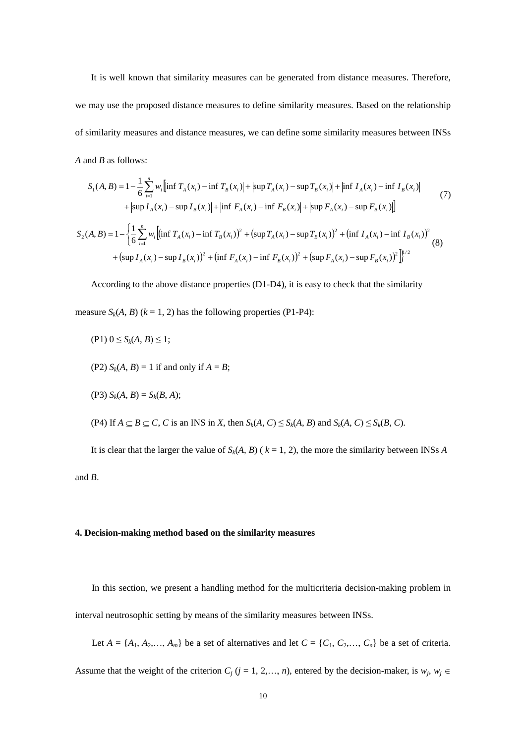It is well known that similarity measures can be generated from distance measures. Therefore, we may use the proposed distance measures to define similarity measures. Based on the relationship of similarity measures and distance measures, we can define some similarity measures between INSs *A* and *B* as follows:

$$
S_{1}(A, B) = 1 - \frac{1}{6} \sum_{i=1}^{n} w_{i} \left[ \inf T_{A}(x_{i}) - \inf T_{B}(x_{i}) \right] + \left| \sup T_{A}(x_{i}) - \sup T_{B}(x_{i}) \right| + \left| \inf I_{A}(x_{i}) - \inf I_{B}(x_{i}) \right|
$$
  
+ 
$$
\left| \sup I_{A}(x_{i}) - \sup I_{B}(x_{i}) \right| + \left| \inf F_{A}(x_{i}) - \inf F_{B}(x_{i}) \right| + \left| \sup F_{A}(x_{i}) - \sup F_{B}(x_{i}) \right| \right]
$$
  

$$
S_{2}(A, B) = 1 - \left\{ \frac{1}{6} \sum_{i=1}^{n} w_{i} \left[ \left( \inf T_{A}(x_{i}) - \inf T_{B}(x_{i}) \right)^{2} + \left( \sup T_{A}(x_{i}) - \sup T_{B}(x_{i}) \right)^{2} + \left( \inf I_{A}(x_{i}) - \inf T_{B}(x_{i}) \right)^{2} \right] \right\}
$$
  
+ 
$$
\left( \sup I_{A}(x_{i}) - \sup I_{B}(x_{i}) \right)^{2} + \left( \inf F_{A}(x_{i}) - \inf F_{B}(x_{i}) \right)^{2} + \left( \sup F_{A}(x_{i}) - \sup F_{B}(x_{i}) \right)^{2} \right\}^{1/2}
$$
  
(8)

According to the above distance properties (D1-D4), it is easy to check that the similarity measure  $S_k(A, B)$  ( $k = 1, 2$ ) has the following properties (P1-P4):

- $(P1)$   $0 \le S_k(A, B) \le 1$ ;
- (P2)  $S_k(A, B) = 1$  if and only if  $A = B$ ;
- (P3)  $S_k(A, B) = S_k(B, A);$
- (P4) If  $A \subseteq B \subseteq C$ , C is an INS in X, then  $S_k(A, C) \leq S_k(A, B)$  and  $S_k(A, C) \leq S_k(B, C)$ .

It is clear that the larger the value of  $S_k(A, B)$  ( $k = 1, 2$ ), the more the similarity between INSs *A* and *B*.

#### **4. Decision-making method based on the similarity measures**

In this section, we present a handling method for the multicriteria decision-making problem in interval neutrosophic setting by means of the similarity measures between INSs.

Let  $A = \{A_1, A_2, \ldots, A_m\}$  be a set of alternatives and let  $C = \{C_1, C_2, \ldots, C_n\}$  be a set of criteria.

Assume that the weight of the criterion  $C_j$  ( $j = 1, 2, \ldots, n$ ), entered by the decision-maker, is  $w_j$ ,  $w_j \in$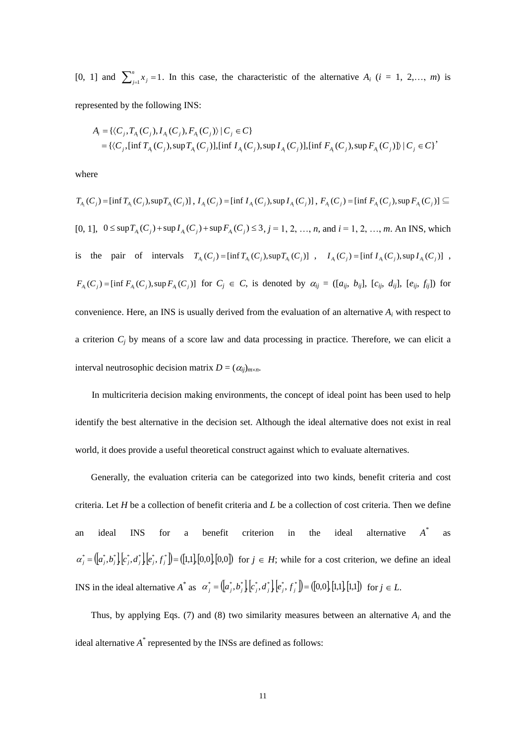[0, 1] and  $\sum_{j=1}^{n} x_j = 1$ *n*  $j_{j=1}^{n}$  *x*<sub>*j*</sub> = 1. In this case, the characteristic of the alternative *A<sub>i</sub>* (*i* = 1, 2,…, *m*) is represented by the following INS:

$$
A_i = \{ \langle C_j, T_{A_i}(C_j), I_{A_i}(C_j), F_{A_i}(C_j) \rangle \mid C_j \in C \}
$$
  
=  $\{ \langle C_j, [\inf T_{A_i}(C_j), \sup T_{A_i}(C_j)], [\inf I_{A_i}(C_j), \sup I_{A_i}(C_j)], [\inf F_{A_i}(C_j), \sup F_{A_i}(C_j)] \} \mid C_j \in C \}$ 

where

$$
T_{A_i}(C_j) = [\inf T_{A_i}(C_j), \sup T_{A_i}(C_j)]
$$
,  $I_{A_i}(C_j) = [\inf I_{A_i}(C_j), \sup I_{A_i}(C_j)]$ ,  $F_{A_i}(C_j) = [\inf F_{A_i}(C_j), \sup F_{A_i}(C_j)] \subseteq$   
\n[0, 1],  $0 \le \sup T_{A_i}(C_j) + \sup I_{A_i}(C_j) + \sup F_{A_i}(C_j) \le 3$ ,  $j = 1, 2, ..., n$ , and  $i = 1, 2, ..., m$ . An INS, which  
\nis the pair of intervals  $T_{A_i}(C_j) = [\inf T_{A_i}(C_j), \sup T_{A_i}(C_j)]$ ,  $I_{A_i}(C_j) = [\inf I_{A_i}(C_j), \sup I_{A_i}(C_j)]$ ,  
\n $F_{A_i}(C_j) = [\inf F_{A_i}(C_j), \sup F_{A_i}(C_j)]$  for  $C_j \in C$ , is denoted by  $\alpha_{ij} = ([a_{ij}, b_{ij}], [c_{ij}, d_{ij}], [e_{ij}, f_{ij}])$  for  
\nconvenience. Here, an INS is usually derived from the evaluation of an alternative  $A_i$  with respect to  
\na criterion  $C_j$  by means of a score law and data processing in practice. Therefore, we can elicit a  
\ninterval neutrosophic decision matrix  $D = (\alpha_{ij})_{m \times n}$ .

In multicriteria decision making environments, the concept of ideal point has been used to help identify the best alternative in the decision set. Although the ideal alternative does not exist in real world, it does provide a useful theoretical construct against which to evaluate alternatives.

Generally, the evaluation criteria can be categorized into two kinds, benefit criteria and cost criteria. Let *H* be a collection of benefit criteria and *L* be a collection of cost criteria. Then we define an ideal INS for a benefit criterion in the ideal alternative  $A^*$ as , , , , , 1,1,0,0,0,0 \* \* \* \* \* \* \* *j a<sup>j</sup> b<sup>j</sup> c<sup>j</sup> d <sup>j</sup> ej f j* for *j H*; while for a cost criterion, we define an ideal INS in the ideal alternative  $A^*$  as  $\alpha_j^* = (\alpha_j^*, b_j^* | c_j^*, d_j^* | e_j^*, f_j^*) = (\alpha_j, 0, 1, 1, 1, 1)$  for  $j \in L$ .

Thus, by applying Eqs. (7) and (8) two similarity measures between an alternative  $A_i$  and the ideal alternative  $A^*$  represented by the INSs are defined as follows: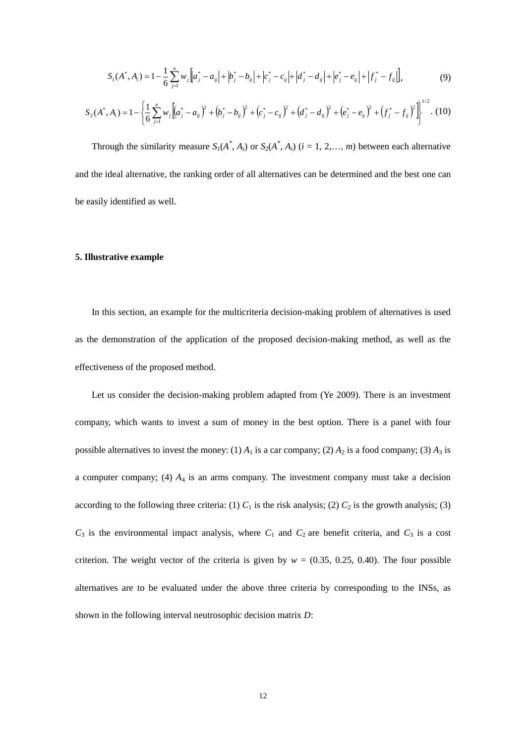$$
S_1(A^*, A_i) = 1 - \frac{1}{6} \sum_{j=1}^n w_j \Big[ a_j^* - a_{ij} \Big| + \Big| b_j^* - b_{ij} \Big| + \Big| c_j^* - c_{ij} \Big| + \Big| d_j^* - d_{ij} \Big| + \Big| e_j^* - e_{ij} \Big| + \Big| f_j^* - f_{ij} \Big| \Big],
$$
\n(9)

$$
S_2(A^*, A_i) = 1 - \left\{ \frac{1}{6} \sum_{j=1}^n w_j \left[ \left( a_j^* - a_{ij} \right)^2 + \left( b_j^* - b_{ij} \right)^2 + \left( c_j^* - c_{ij} \right)^2 + \left( d_j^* - d_{ij} \right)^2 + \left( e_j^* - e_{ij} \right)^2 + \left( f_j^* - f_{ij} \right)^2 \right] \right\}^{1/2} .
$$
 (10)

Through the similarity measure  $S_1(A^*, A_i)$  or  $S_2(A^*, A_i)$  (*i* = 1, 2, ..., *m*) between each alternative and the ideal alternative, the ranking order of all alternatives can be determined and the best one can be easily identified as well.

#### **5. Illustrative example**

In this section, an example for the multicriteria decision-making problem of alternatives is used as the demonstration of the application of the proposed decision-making method, as well as the effectiveness of the proposed method.

 $|a_j - a_g| + |b_j - b_g| + |c_j - c_g| + |d_j^2 - d_g| + |e_j^2 - e_g| + |f_j^2 - e_g| + |f_j^2 - f_g|$ <br>  $a_g$ <sup>3</sup> +  $(b_j^2 - b_g)$ <sup>2</sup> +  $(c_j^2 - c_g)$ <sup>2</sup> +  $(d_j^2 - d_g)$ <sup>2</sup> +  $(c_j^2 - e_g)$ <sup>2</sup> +  $(f_j^2 - f_g)$ <br>
assure  $S_1(A^*, A_i)$  or  $S_2(A^*, A_i)$   $(i = 1, 2, ..., m)$  between each<br>
statin Let us consider the decision-making problem adapted from (Ye 2009). There is an investment company, which wants to invest a sum of money in the best option. There is a panel with four possible alternatives to invest the money: (1)  $A_1$  is a car company; (2)  $A_2$  is a food company; (3)  $A_3$  is a computer company; (4) *A*<sup>4</sup> is an arms company. The investment company must take a decision according to the following three criteria: (1)  $C_1$  is the risk analysis; (2)  $C_2$  is the growth analysis; (3)  $C_3$  is the environmental impact analysis, where  $C_1$  and  $C_2$  are benefit criteria, and  $C_3$  is a cost criterion. The weight vector of the criteria is given by  $w = (0.35, 0.25, 0.40)$ . The four possible alternatives are to be evaluated under the above three criteria by corresponding to the INSs, as shown in the following interval neutrosophic decision matrix *D*: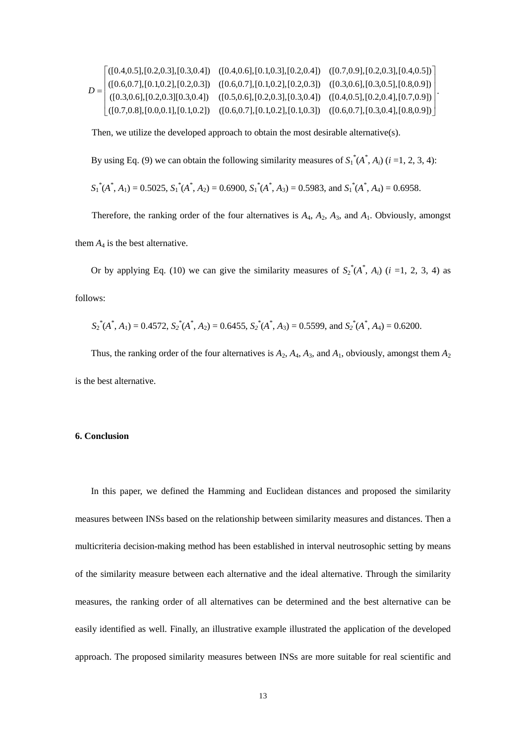|  |  | $[(0.4, 0.5], [0.2, 0.3], [0.3, 0.4])$ $([0.4, 0.6], [0.1, 0.3], [0.2, 0.4])$ $([0.7, 0.9], [0.2, 0.3], [0.4, 0.5])$                                                                                                                                                         |  |
|--|--|------------------------------------------------------------------------------------------------------------------------------------------------------------------------------------------------------------------------------------------------------------------------------|--|
|  |  |                                                                                                                                                                                                                                                                              |  |
|  |  | $D = \begin{bmatrix} ([0.6, 0.7], [0.1, 0.2], [0.2, 0.3]) & ([0.6, 0.7], [0.1, 0.2], [0.2, 0.3]) & ([0.3, 0.6], [0.3, 0.5], [0.8, 0.9]) \\ ([0.3, 0.6], [0.2, 0.3], [0.3, 0.4]) & ([0.5, 0.6], [0.2, 0.3], [0.3, 0.4]) & ([0.4, 0.5], [0.2, 0.4], [0.7, 0.9]) \end{bmatrix}$ |  |
|  |  | $\left. +\right. \left( [0.7, 0.8], [0.0, 0.1], [0.1, 0.2]) \quad ( [0.6, 0.7], [0.1, 0.2], [0.1, 0.3]) \quad ( [0.6, 0.7], [0.3, 0.4], [0.8, 0.9]) \right]$                                                                                                                 |  |

Then, we utilize the developed approach to obtain the most desirable alternative(s).

By using Eq. (9) we can obtain the following similarity measures of  $S_1^*(A^*, A_i)$  (*i* =1, 2, 3, 4):

$$
S_1^*(A^*, A_1) = 0.5025
$$
,  $S_1^*(A^*, A_2) = 0.6900$ ,  $S_1^*(A^*, A_3) = 0.5983$ , and  $S_1^*(A^*, A_4) = 0.6958$ .

Therefore, the ranking order of the four alternatives is  $A_4$ ,  $A_2$ ,  $A_3$ , and  $A_1$ . Obviously, amongst

them  $A_4$  is the best alternative.

Or by applying Eq. (10) we can give the similarity measures of  $S_2^*(A^*, A_i)$  (*i* =1, 2, 3, 4) as follows:

$$
S_2^*(A^*, A_1) = 0.4572
$$
,  $S_2^*(A^*, A_2) = 0.6455$ ,  $S_2^*(A^*, A_3) = 0.5599$ , and  $S_2^*(A^*, A_4) = 0.6200$ .

Thus, the ranking order of the four alternatives is  $A_2$ ,  $A_4$ ,  $A_3$ , and  $A_1$ , obviously, amongst them  $A_2$ is the best alternative.

#### **6. Conclusion**

In this paper, we defined the Hamming and Euclidean distances and proposed the similarity measures between INSs based on the relationship between similarity measures and distances. Then a multicriteria decision-making method has been established in interval neutrosophic setting by means of the similarity measure between each alternative and the ideal alternative. Through the similarity measures, the ranking order of all alternatives can be determined and the best alternative can be easily identified as well. Finally, an illustrative example illustrated the application of the developed approach. The proposed similarity measures between INSs are more suitable for real scientific and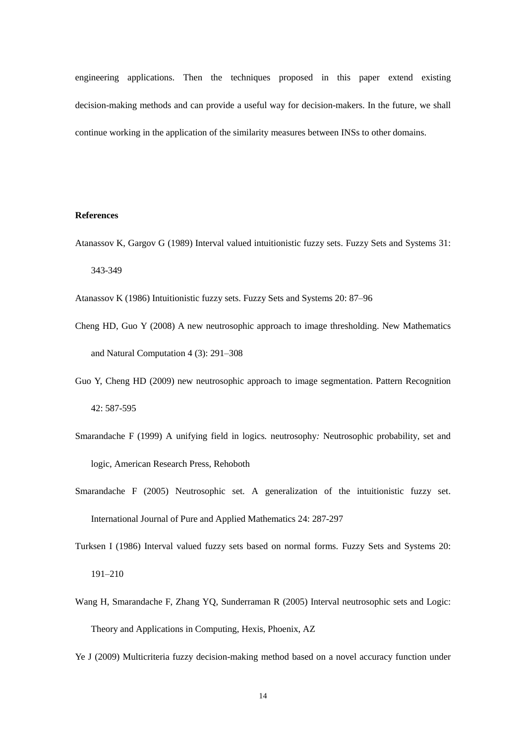engineering applications. Then the techniques proposed in this paper extend existing decision-making methods and can provide a useful way for decision-makers. In the future, we shall continue working in the application of the similarity measures between INSs to other domains.

#### **References**

Atanassov K, Gargov G (1989) Interval valued intuitionistic fuzzy sets. Fuzzy Sets and Systems 31: 343-349

Atanassov K (1986) Intuitionistic fuzzy sets. Fuzzy Sets and Systems 20: 87–96

- Cheng HD, Guo Y (2008) A new neutrosophic approach to image thresholding. New Mathematics and Natural Computation 4 (3): 291–308
- Guo Y, Cheng HD (2009) new neutrosophic approach to image segmentation. Pattern Recognition 42: 587-595
- Smarandache F (1999) A unifying field in logics*.* neutrosophy*:* Neutrosophic probability, set and logic, American Research Press, Rehoboth
- Smarandache F (2005) Neutrosophic set. A generalization of the intuitionistic fuzzy set. International Journal of Pure and Applied Mathematics 24: 287-297
- Turksen I (1986) Interval valued fuzzy sets based on normal forms. Fuzzy Sets and Systems 20: 191–210
- Wang H, Smarandache F, Zhang YQ, Sunderraman R (2005) Interval neutrosophic sets and Logic: Theory and Applications in Computing, Hexis, Phoenix, AZ
- Ye J (2009) Multicriteria fuzzy decision-making method based on a novel accuracy function under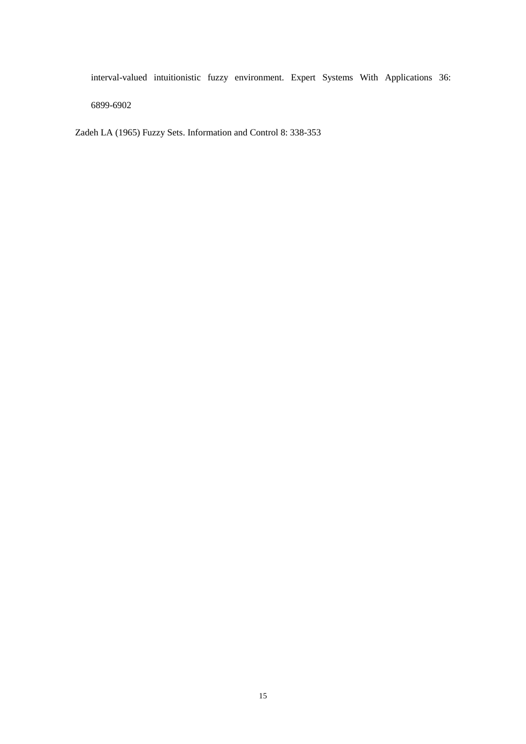interval-valued intuitionistic fuzzy environment. Expert Systems With Applications 36: 6899-6902

Zadeh LA (1965) Fuzzy Sets. Information and Control 8: 338-353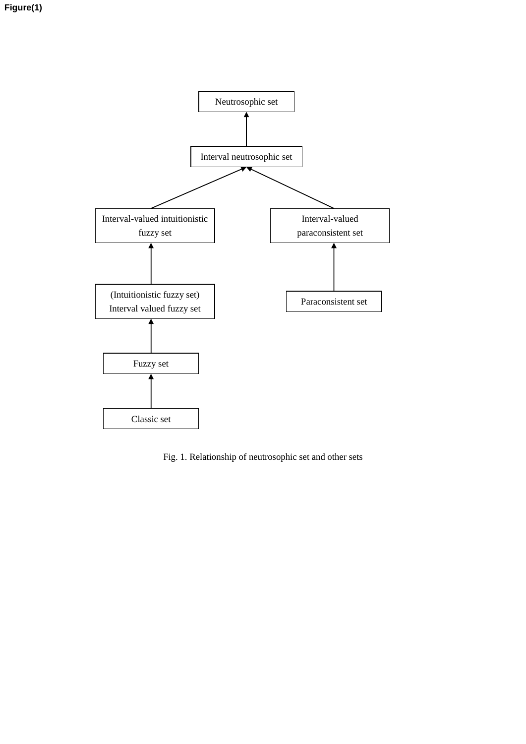

Fig. 1. Relationship of neutrosophic set and other sets